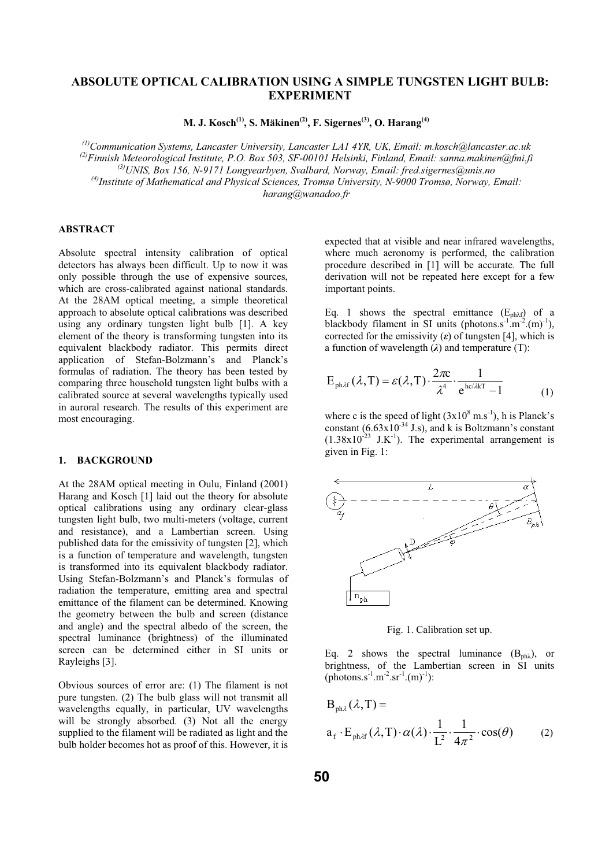# **ABSOLUTE OPTICAL CALIBRATION USING A SIMPLE TUNGSTEN LIGHT BULB: EXPERIMENT**

**M. J. Kosch(1), S. Mäkinen(2), F. Sigernes(3), O. Harang(4)**

*(1)Communication Systems, Lancaster University, Lancaster LA1 4YR, UK, Email: m.kosch@lancaster.ac.uk (2)Finnish Meteorological Institute, P.O. Box 503, SF-00101 Helsinki, Finland, Email: sanna.makinen@fmi.fi (3)UNIS, Box 156, N-9171 Longyearbyen, Svalbard, Norway, Email: fred.sigernes@unis.no (4)Institute of Mathematical and Physical Sciences, Tromsø University, N-9000 Tromsø, Norway, Email: harang@wanadoo.fr* 

## **ABSTRACT**

Absolute spectral intensity calibration of optical detectors has always been difficult. Up to now it was only possible through the use of expensive sources, which are cross-calibrated against national standards. At the 28AM optical meeting, a simple theoretical approach to absolute optical calibrations was described using any ordinary tungsten light bulb [1]. A key element of the theory is transforming tungsten into its equivalent blackbody radiator. This permits direct application of Stefan-Bolzmann's and Planck's formulas of radiation. The theory has been tested by comparing three household tungsten light bulbs with a calibrated source at several wavelengths typically used in auroral research. The results of this experiment are most encouraging.

### **1. BACKGROUND**

At the 28AM optical meeting in Oulu, Finland (2001) Harang and Kosch [1] laid out the theory for absolute optical calibrations using any ordinary clear-glass tungsten light bulb, two multi-meters (voltage, current and resistance), and a Lambertian screen. Using published data for the emissivity of tungsten [2], which is a function of temperature and wavelength, tungsten is transformed into its equivalent blackbody radiator. Using Stefan-Bolzmann's and Planck's formulas of radiation the temperature, emitting area and spectral emittance of the filament can be determined. Knowing the geometry between the bulb and screen (distance and angle) and the spectral albedo of the screen, the spectral luminance (brightness) of the illuminated screen can be determined either in SI units or Rayleighs [3].

Obvious sources of error are: (1) The filament is not pure tungsten. (2) The bulb glass will not transmit all wavelengths equally, in particular, UV wavelengths will be strongly absorbed. (3) Not all the energy supplied to the filament will be radiated as light and the bulb holder becomes hot as proof of this. However, it is

expected that at visible and near infrared wavelengths, where much aeronomy is performed, the calibration procedure described in [1] will be accurate. The full derivation will not be repeated here except for a few important points.

Eq. 1 shows the spectral emittance  $(E_{ph\lambda f})$  of a blackbody filament in SI units (photons.s<sup>-1</sup>.m<sup>-2</sup>.(m)<sup>-1</sup>), corrected for the emissivity  $(\varepsilon)$  of tungsten [4], which is a function of wavelength  $(\lambda)$  and temperature (T):

$$
E_{ph\lambda f}(\lambda, T) = \varepsilon(\lambda, T) \cdot \frac{2\pi c}{\lambda^4} \cdot \frac{1}{e^{hc/\lambda kT} - 1}
$$
 (1)

where c is the speed of light  $(3x10^8 \text{ m.s}^{-1})$ , h is Planck's constant  $(6.63 \times 10^{-34} \text{ J.s})$ , and k is Boltzmann's constant  $(1.38x10^{-23}$  J.K<sup>-1</sup>). The experimental arrangement is given in Fig. 1:



Fig. 1. Calibration set up.

Eq. 2 shows the spectral luminance  $(B_{ph<sub>o</sub>})$ , or brightness, of the Lambertian screen in SI units  $(photons.s<sup>-1</sup>.m<sup>-2</sup>.sr<sup>-1</sup>.(m)<sup>-1</sup>):$ 

 $cos(\theta)$ 4 1 L  $a_f \cdot E_{\text{ph\textsuperscript{df}}}(\lambda, T) \cdot \alpha(\lambda) \cdot \frac{1}{\tau^2} \cdot \frac{1}{4\pi^2} \cdot \cos(\theta)$  $B_{ph\lambda}(\lambda, T) =$ ·π  $\cdot E_{\text{ph\lambda f}}(\lambda, T) \cdot \alpha(\lambda) \cdot \frac{1}{T^2} \cdot \frac{1}{T^2}$ (2)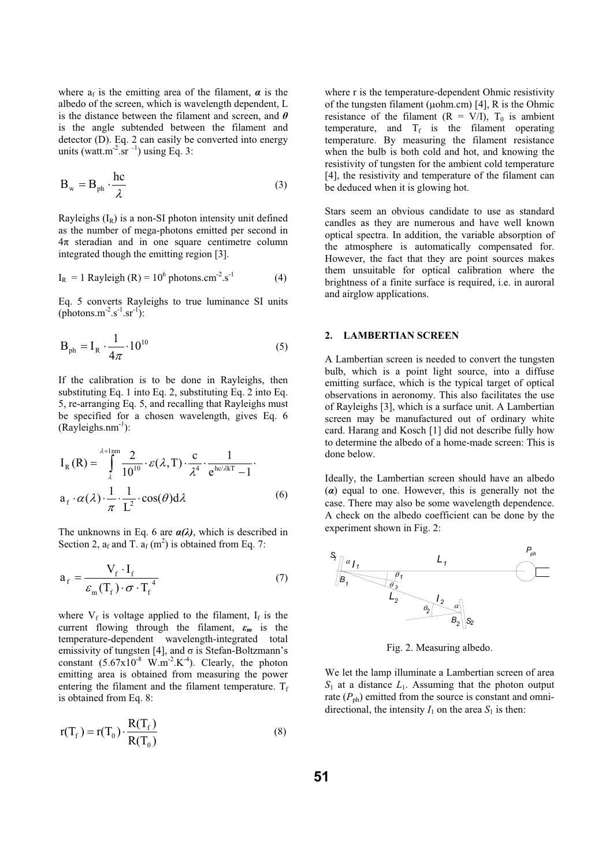where  $a_f$  is the emitting area of the filament,  $\alpha$  is the albedo of the screen, which is wavelength dependent, L is the distance between the filament and screen, and  $\theta$ is the angle subtended between the filament and detector (D). Eq. 2 can easily be converted into energy units (watt.m<sup>-2</sup>.sr<sup> $-1$ </sup>) using Eq. 3:

$$
\mathbf{B}_{\rm w} = \mathbf{B}_{\rm ph} \cdot \frac{\rm hc}{\lambda} \tag{3}
$$

Rayleighs  $(I_R)$  is a non-SI photon intensity unit defined as the number of mega-photons emitted per second in  $4\pi$  steradian and in one square centimetre column integrated though the emitting region [3].

$$
IR = 1 Rayleigh (R) = 106 photons.cm-2.s-1
$$
 (4)

Eq. 5 converts Rayleighs to true luminance SI units  $(photons.m<sup>-2</sup>.s<sup>-1</sup>.sr<sup>-1</sup>)$ :

$$
\mathbf{B}_{\text{ph}} = \mathbf{I}_{\text{R}} \cdot \frac{1}{4\pi} \cdot 10^{10} \tag{5}
$$

If the calibration is to be done in Rayleighs, then substituting Eq. 1 into Eq. 2, substituting Eq. 2 into Eq. 5, re-arranging Eq. 5, and recalling that Rayleighs must be specified for a chosen wavelength, gives Eq. 6  $(Ravleighsum<sup>-1</sup>)$ :

$$
I_{R}(R) = \int_{\lambda}^{\lambda + \text{1mm}} \frac{2}{10^{10}} \cdot \varepsilon(\lambda, T) \cdot \frac{c}{\lambda^{4}} \cdot \frac{1}{e^{\text{hc}/\lambda kT} - 1}.
$$
  

$$
a_{f} \cdot \alpha(\lambda) \cdot \frac{1}{\pi} \cdot \frac{1}{L^{2}} \cdot \cos(\theta) d\lambda
$$
 (6)

The unknowns in Eq. 6 are  $\alpha(\lambda)$ , which is described in Section 2,  $a_f$  and T.  $a_f$  (m<sup>2</sup>) is obtained from Eq. 7:

$$
a_{f} = \frac{V_{f} \cdot I_{f}}{\varepsilon_{m} (T_{f}) \cdot \sigma \cdot T_{f}^{4}}
$$
 (7)

where  $V_f$  is voltage applied to the filament,  $I_f$  is the current flowing through the filament,  $\varepsilon_m$  is the temperature-dependent wavelength-integrated total emissivity of tungsten [4], and  $\sigma$  is Stefan-Boltzmann's constant  $(5.67 \times 10^{-8} \text{ W.m}^{-2} \text{K}^{-4})$ . Clearly, the photon emitting area is obtained from measuring the power entering the filament and the filament temperature.  $T_f$ is obtained from Eq. 8:

$$
r(T_f) = r(T_0) \cdot \frac{R(T_f)}{R(T_0)}
$$
\n(8)

where r is the temperature-dependent Ohmic resistivity of the tungsten filament ( $\mu$ ohm.cm) [4], R is the Ohmic resistance of the filament  $(R = V/I)$ ,  $T_0$  is ambient temperature, and  $T_f$  is the filament operating temperature. By measuring the filament resistance when the bulb is both cold and hot, and knowing the resistivity of tungsten for the ambient cold temperature [4], the resistivity and temperature of the filament can be deduced when it is glowing hot.

Stars seem an obvious candidate to use as standard candles as they are numerous and have well known optical spectra. In addition, the variable absorption of the atmosphere is automatically compensated for. However, the fact that they are point sources makes them unsuitable for optical calibration where the brightness of a finite surface is required, i.e. in auroral and airglow applications.

### **2. LAMBERTIAN SCREEN**

A Lambertian screen is needed to convert the tungsten bulb, which is a point light source, into a diffuse emitting surface, which is the typical target of optical observations in aeronomy. This also facilitates the use of Rayleighs [3], which is a surface unit. A Lambertian screen may be manufactured out of ordinary white card. Harang and Kosch [1] did not describe fully how to determine the albedo of a home-made screen: This is done below.

Ideally, the Lambertian screen should have an albedo  $(a)$  equal to one. However, this is generally not the case. There may also be some wavelength dependence. A check on the albedo coefficient can be done by the experiment shown in Fig. 2:



Fig. 2. Measuring albedo.

We let the lamp illuminate a Lambertian screen of area  $S_1$  at a distance  $L_1$ . Assuming that the photon output rate  $(P_{ph})$  emitted from the source is constant and omnidirectional, the intensity  $I_1$  on the area  $S_1$  is then: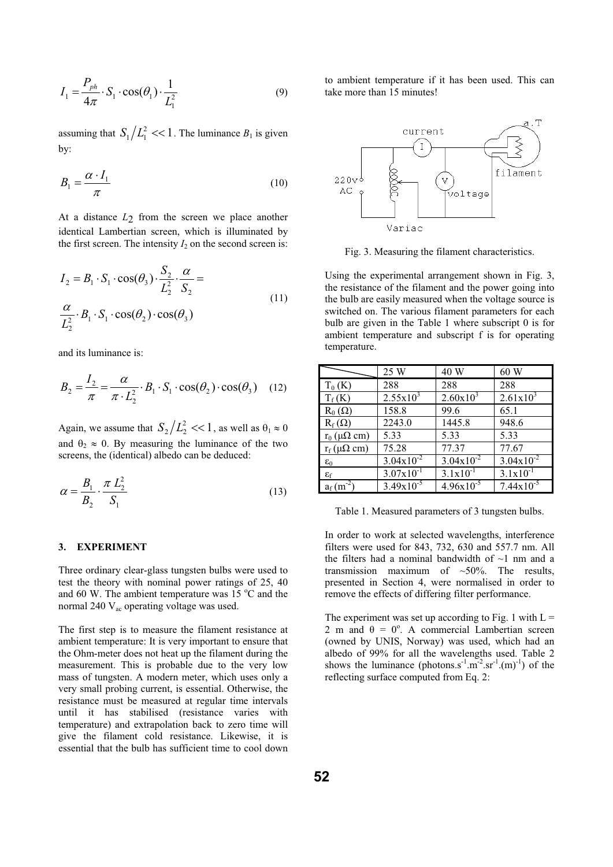$$
I_1 = \frac{P_{ph}}{4\pi} \cdot S_1 \cdot \cos(\theta_1) \cdot \frac{1}{L_1^2}
$$
 (9)

assuming that  $S_1/L_1^2 \ll 1$ . The luminance  $B_1$  is given by:

$$
B_1 = \frac{\alpha \cdot I_1}{\pi} \tag{10}
$$

At a distance *L*2 from the screen we place another identical Lambertian screen, which is illuminated by the first screen. The intensity  $I_2$  on the second screen is:

$$
I_2 = B_1 \cdot S_1 \cdot \cos(\theta_3) \cdot \frac{S_2}{L_2^2} \cdot \frac{\alpha}{S_2} =
$$
  

$$
\frac{\alpha}{L_2^2} \cdot B_1 \cdot S_1 \cdot \cos(\theta_2) \cdot \cos(\theta_3)
$$
 (11)

and its luminance is:

$$
B_2 = \frac{I_2}{\pi} = \frac{\alpha}{\pi \cdot L_2^2} \cdot B_1 \cdot S_1 \cdot \cos(\theta_2) \cdot \cos(\theta_3) \quad (12)
$$

Again, we assume that  $S_2/L_2^2 \ll 1$ , as well as  $\theta_1 \approx 0$ and  $\theta_2 \approx 0$ . By measuring the luminance of the two screens, the (identical) albedo can be deduced:

$$
\alpha = \frac{B_1}{B_2} \cdot \frac{\pi L_2^2}{S_1}
$$
 (13)

## **3. EXPERIMENT**

Three ordinary clear-glass tungsten bulbs were used to test the theory with nominal power ratings of 25, 40 and 60 W. The ambient temperature was  $15\text{ °C}$  and the normal 240  $V_{ac}$  operating voltage was used.

The first step is to measure the filament resistance at ambient temperature: It is very important to ensure that the Ohm-meter does not heat up the filament during the measurement. This is probable due to the very low mass of tungsten. A modern meter, which uses only a very small probing current, is essential. Otherwise, the resistance must be measured at regular time intervals until it has stabilised (resistance varies with temperature) and extrapolation back to zero time will give the filament cold resistance. Likewise, it is essential that the bulb has sufficient time to cool down

to ambient temperature if it has been used. This can take more than 15 minutes!



Fig. 3. Measuring the filament characteristics.

Using the experimental arrangement shown in Fig. 3, the resistance of the filament and the power going into the bulb are easily measured when the voltage source is switched on. The various filament parameters for each bulb are given in the Table 1 where subscript 0 is for ambient temperature and subscript f is for operating temperature.

|                             | 25 W           | 40 W           | 60 W                  |
|-----------------------------|----------------|----------------|-----------------------|
| $T_0$ (K)                   | 288            | 288            | 288                   |
| $T_f(K)$                    | $2.55x10^{3}$  | $2.60x10^3$    | $2.61x10^{3}$         |
| $R_0(\Omega)$               | 158.8          | 99.6           | 65.1                  |
| $R_f(\Omega)$               | 2243.0         | 1445.8         | 948.6                 |
| $r_0$ ( $\mu\Omega$ cm)     | 5.33           | 5.33           | 5.33                  |
| $r_f(\mu\Omega \text{ cm})$ | 75.28          | 77.37          | 77.67                 |
| $\varepsilon_0$             | $3.04x10^{-2}$ | $3.04x10^{-2}$ | $3.04x10^{-2}$        |
| $\varepsilon_{\rm f}$       | $3.07x10^{-1}$ | $3.1x10^{-1}$  | $3.1x10^{-1}$         |
| $a_f$ (m <sup>-2</sup> )    | $3.49x10^{-5}$ | $4.96x10^{-5}$ | $7.44 \times 10^{-5}$ |

Table 1. Measured parameters of 3 tungsten bulbs.

In order to work at selected wavelengths, interference filters were used for 843, 732, 630 and 557.7 nm. All the filters had a nominal bandwidth of  $\sim$ 1 nm and a transmission maximum of  $\sim$ 50%. The results, presented in Section 4, were normalised in order to remove the effects of differing filter performance.

The experiment was set up according to Fig. 1 with  $L =$ 2 m and  $\theta = 0^{\circ}$ . A commercial Lambertian screen (owned by UNIS, Norway) was used, which had an albedo of 99% for all the wavelengths used. Table 2 shows the luminance (photons.s<sup>-1</sup>.m<sup>-2</sup>.sr<sup>-1</sup>.(m)<sup>-1</sup>) of the reflecting surface computed from Eq. 2: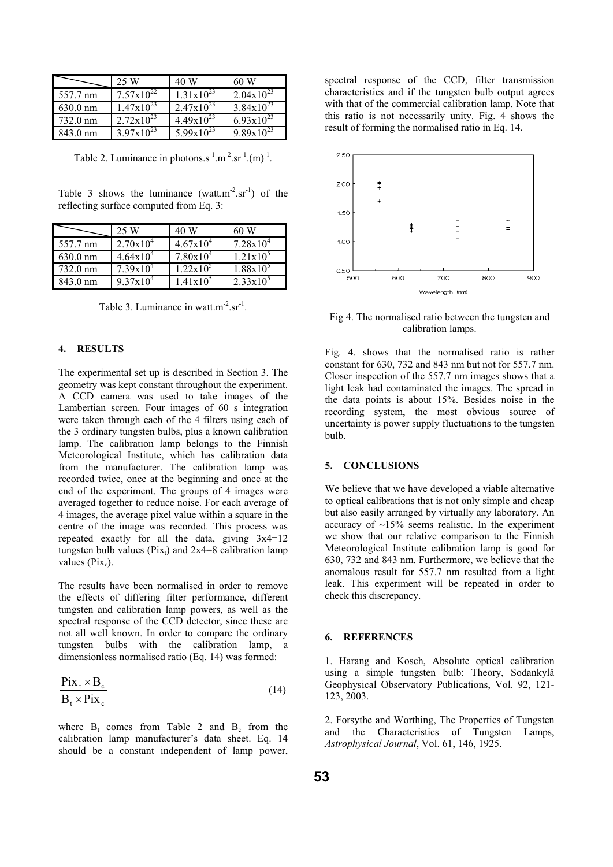|                    | 25 W                  | 40 W                  | 60 W                  |
|--------------------|-----------------------|-----------------------|-----------------------|
| 557.7 nm           | $7.57 \times 10^{22}$ | $1.31 \times 10^{23}$ | $2.04 \times 10^{23}$ |
| $630.0 \text{ nm}$ | $1.47 \times 10^{23}$ | $2.47x10^{23}$        | $3.84 \times 10^{23}$ |
| 732.0 nm           | $2.72 \times 10^{23}$ | $4.49x10^{23}$        | $6.93 \times 10^{23}$ |
| 843.0 nm           | $3.97x10^{23}$        | $5.99x10^{23}$        | $9.89x10^{23}$        |

Table 2. Luminance in photons.s<sup>-1</sup>.m<sup>-2</sup>.sr<sup>-1</sup>.(m)<sup>-1</sup>.

Table 3 shows the luminance (watt.m<sup>-2</sup>.sr<sup>-1</sup>) of the reflecting surface computed from Eq. 3:

|                    | 25 W                 | 40 W                 | 60 W                 |
|--------------------|----------------------|----------------------|----------------------|
| 557.7 nm           | $2.70 \times 10^{4}$ | $4.67 \times 10^{4}$ | $7.28 \times 10^{4}$ |
| $630.0 \text{ nm}$ | $4.64 \times 10^{4}$ | $7.80 \times 10^{4}$ | $1.21 \times 10^{5}$ |
| 732.0 nm           | $7.39x10^4$          | $1.22 \times 10^{5}$ | $1.88 \times 10^5$   |
| 843.0 nm           | $9.37 \times 10^{4}$ | $1.41x10^5$          | $2.33 \times 10^{5}$ |

Table 3. Luminance in watt.m<sup>-2</sup>.sr<sup>-1</sup>.

#### **4. RESULTS**

The experimental set up is described in Section 3. The geometry was kept constant throughout the experiment. A CCD camera was used to take images of the Lambertian screen. Four images of 60 s integration were taken through each of the 4 filters using each of the 3 ordinary tungsten bulbs, plus a known calibration lamp. The calibration lamp belongs to the Finnish Meteorological Institute, which has calibration data from the manufacturer. The calibration lamp was recorded twice, once at the beginning and once at the end of the experiment. The groups of 4 images were averaged together to reduce noise. For each average of 4 images, the average pixel value within a square in the centre of the image was recorded. This process was repeated exactly for all the data, giving  $3x4=12$ tungsten bulb values ( $Pix_t$ ) and  $2x4=8$  calibration lamp values  $(Pix_c)$ .

The results have been normalised in order to remove the effects of differing filter performance, different tungsten and calibration lamp powers, as well as the spectral response of the CCD detector, since these are not all well known. In order to compare the ordinary tungsten bulbs with the calibration lamp, a dimensionless normalised ratio (Eq. 14) was formed:

$$
\frac{\text{Pix}_{t} \times \text{B}_{c}}{\text{B}_{t} \times \text{Pix}_{c}} \tag{14}
$$

where  $B_t$  comes from Table 2 and  $B_c$  from the calibration lamp manufacturer's data sheet. Eq. 14 should be a constant independent of lamp power,

spectral response of the CCD, filter transmission characteristics and if the tungsten bulb output agrees with that of the commercial calibration lamp. Note that this ratio is not necessarily unity. Fig. 4 shows the result of forming the normalised ratio in Eq. 14.



Fig 4. The normalised ratio between the tungsten and calibration lamps.

Fig. 4. shows that the normalised ratio is rather constant for 630, 732 and 843 nm but not for 557.7 nm. Closer inspection of the 557.7 nm images shows that a light leak had contaminated the images. The spread in the data points is about 15%. Besides noise in the recording system, the most obvious source of uncertainty is power supply fluctuations to the tungsten bulb.

#### **5. CONCLUSIONS**

We believe that we have developed a viable alternative to optical calibrations that is not only simple and cheap but also easily arranged by virtually any laboratory. An accuracy of  $\sim$ 15% seems realistic. In the experiment we show that our relative comparison to the Finnish Meteorological Institute calibration lamp is good for 630, 732 and 843 nm. Furthermore, we believe that the anomalous result for 557.7 nm resulted from a light leak. This experiment will be repeated in order to check this discrepancy.

### **6. REFERENCES**

1. Harang and Kosch, Absolute optical calibration using a simple tungsten bulb: Theory, Sodankylä Geophysical Observatory Publications, Vol. 92, 121- 123, 2003.

2. Forsythe and Worthing, The Properties of Tungsten and the Characteristics of Tungsten Lamps, *Astrophysical Journal*, Vol. 61, 146, 1925.